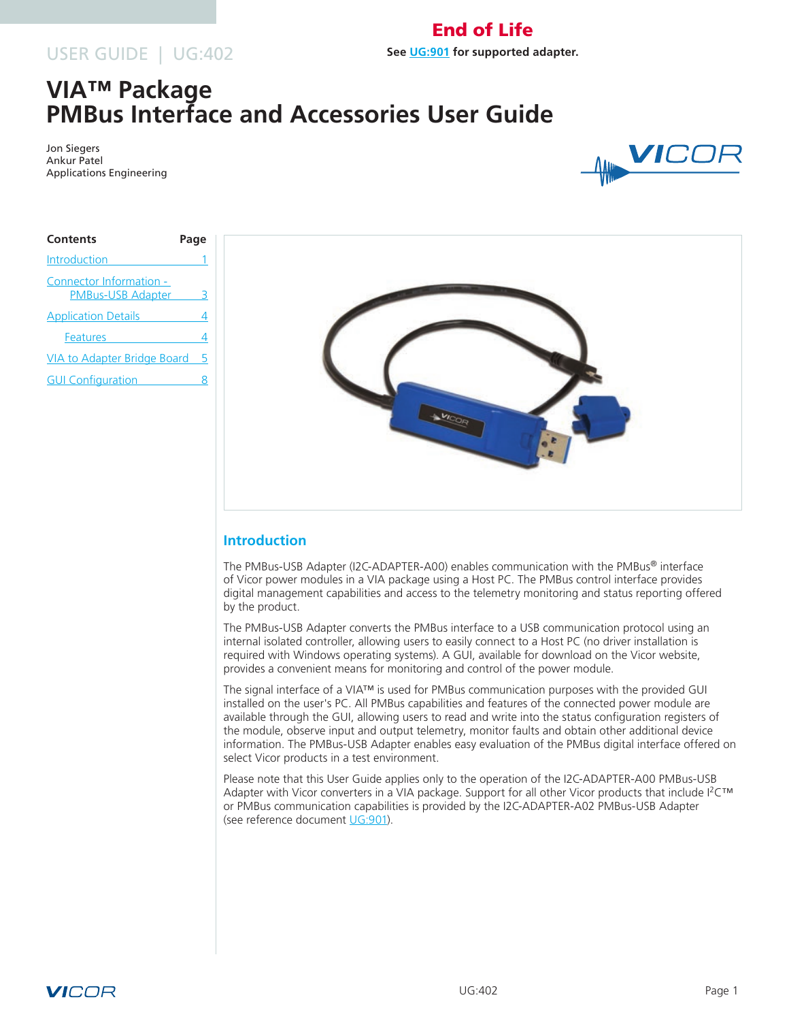# USER GUIDE | UG:402

# **VIA™ Package PMBus Interface and Accessories User Guide**

Jon Siegers Ankur Patel Applications Engineering



| Page                                    |
|-----------------------------------------|
|                                         |
|                                         |
|                                         |
|                                         |
| <b>VIA to Adapter Bridge Board</b><br>5 |
|                                         |
|                                         |



End of Life **See [UG:901](http://www2.vicorpower.com/ug-901-PMBus-Interface-Accessories-VICOR.pdf) for supported adapter.**

# **Introduction**

The PMBus-USB Adapter (I2C-ADAPTER-A00) enables communication with the PMBus® interface of Vicor power modules in a VIA package using a Host PC. The PMBus control interface provides digital management capabilities and access to the telemetry monitoring and status reporting offered by the product.

The PMBus-USB Adapter converts the PMBus interface to a USB communication protocol using an internal isolated controller, allowing users to easily connect to a Host PC (no driver installation is required with Windows operating systems). A GUI, available for download on the Vicor website, provides a convenient means for monitoring and control of the power module.

The signal interface of a VIA™ is used for PMBus communication purposes with the provided GUI installed on the user's PC. All PMBus capabilities and features of the connected power module are available through the GUI, allowing users to read and write into the status configuration registers of the module, observe input and output telemetry, monitor faults and obtain other additional device information. The PMBus-USB Adapter enables easy evaluation of the PMBus digital interface offered on select Vicor products in a test environment.

Please note that this User Guide applies only to the operation of the I2C-ADAPTER-A00 PMBus-USB Adapter with Vicor converters in a VIA package. Support for all other Vicor products that include I<sup>2</sup>C™ or PMBus communication capabilities is provided by the I2C-ADAPTER-A02 PMBus-USB Adapter (see reference document [UG:901\)](http://www2.vicorpower.com/ug-901-PMBus-Interface-Accessories-VICOR.pdf).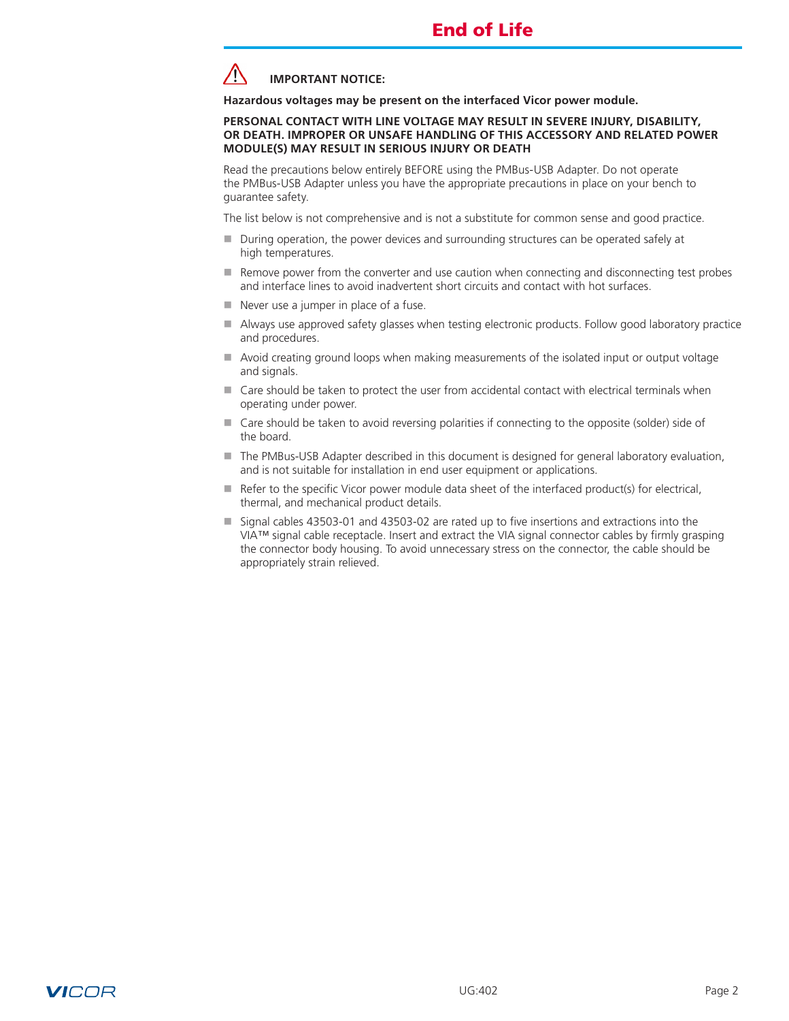

**Hazardous voltages may be present on the interfaced Vicor power module.** 

#### **PERSONAL CONTACT WITH LINE VOLTAGE MAY RESULT IN SEVERE INJURY, DISABILITY, OR DEATH. IMPROPER OR UNSAFE HANDLING OF THIS ACCESSORY AND RELATED POWER MODULE(S) MAY RESULT IN SERIOUS INJURY OR DEATH**

Read the precautions below entirely BEFORE using the PMBus*-*USB Adapter. Do not operate the PMBus-USB Adapter unless you have the appropriate precautions in place on your bench to guarantee safety.

The list below is not comprehensive and is not a substitute for common sense and good practice.

- During operation, the power devices and surrounding structures can be operated safely at high temperatures.
- $\blacksquare$  Remove power from the converter and use caution when connecting and disconnecting test probes and interface lines to avoid inadvertent short circuits and contact with hot surfaces.
- $\blacksquare$  Never use a jumper in place of a fuse.
- Always use approved safety glasses when testing electronic products. Follow good laboratory practice and procedures.
- $\blacksquare$  Avoid creating ground loops when making measurements of the isolated input or output voltage and signals.
- $\blacksquare$  Care should be taken to protect the user from accidental contact with electrical terminals when operating under power.
- Care should be taken to avoid reversing polarities if connecting to the opposite (solder) side of the board.
- The PMBus-USB Adapter described in this document is designed for general laboratory evaluation, and is not suitable for installation in end user equipment or applications.
- $\blacksquare$  Refer to the specific Vicor power module data sheet of the interfaced product(s) for electrical, thermal, and mechanical product details.
- Signal cables 43503-01 and 43503-02 are rated up to five insertions and extractions into the VIA™ signal cable receptacle. Insert and extract the VIA signal connector cables by firmly grasping the connector body housing. To avoid unnecessary stress on the connector, the cable should be appropriately strain relieved.

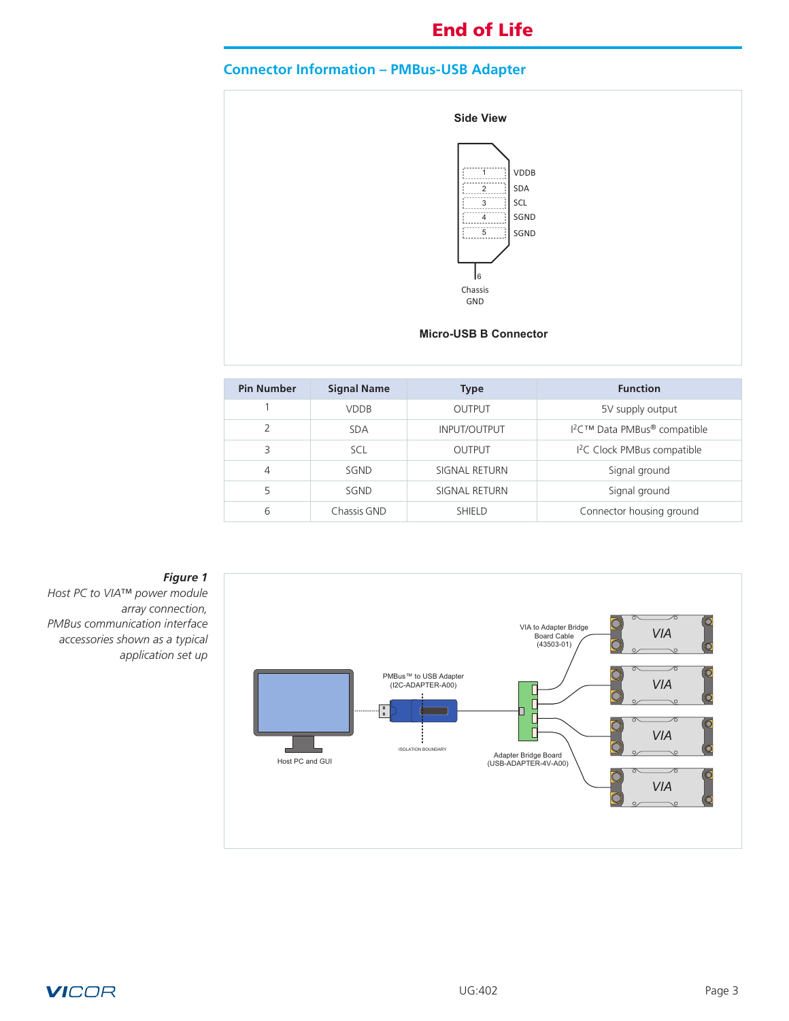# <span id="page-2-0"></span>**Connector Information – PMBus-USB Adapter**



| <b>Pin Number</b> | <b>Signal Name</b> | <b>Type</b>         | <b>Function</b>                                      |  |
|-------------------|--------------------|---------------------|------------------------------------------------------|--|
|                   | <b>VDDB</b>        | OUTPUT              | 5V supply output                                     |  |
| C                 | <b>SDA</b>         | <b>INPUT/OUTPUT</b> | I <sup>2</sup> C™ Data PMBus <sup>®</sup> compatible |  |
| 3                 | <b>SCL</b>         | <b>OUTPUT</b>       | <sup>12</sup> C Clock PMBus compatible               |  |
| 4                 | SGND               | SIGNAL RETURN       | Signal ground                                        |  |
| 5                 | SGND               | SIGNAL RETURN       | Signal ground                                        |  |
| 6                 | Chassis GND        | <b>SHIELD</b>       | Connector housing ground                             |  |



## *Figure 1*

*Host PC to VIA™ power module array connection, PMBus communication interface accessories shown as a typical application set up*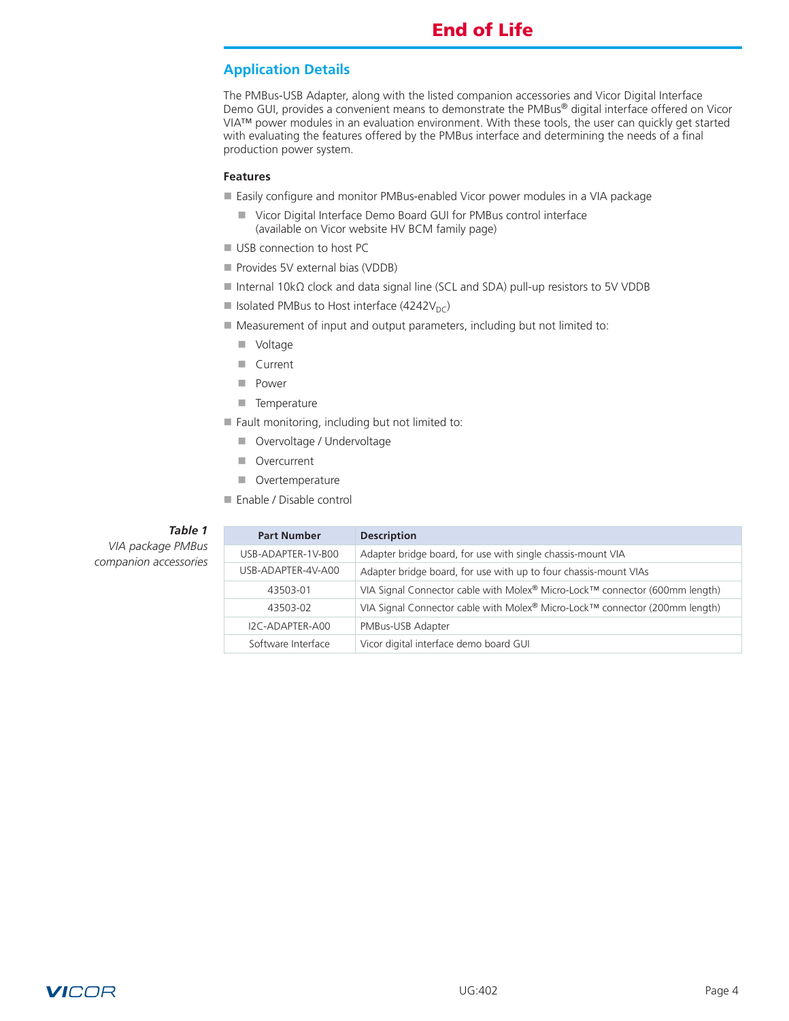# <span id="page-3-0"></span>**Application Details**

The PMBus-USB Adapter, along with the listed companion accessories and Vicor Digital Interface Demo GUI, provides a convenient means to demonstrate the PMBus® digital interface offered on Vicor VIA™ power modules in an evaluation environment. With these tools, the user can quickly get started with evaluating the features offered by the PMBus interface and determining the needs of a final production power system.

#### **Features**

- Easily configure and monitor PMBus-enabled Vicor power modules in a VIA package
	- Vicor Digital Interface Demo Board GUI for PMBus control interface (available on Vicor website HV BCM family page)
- USB connection to host PC
- **Provides 5V external bias (VDDB)**
- Internal 10kΩ clock and data signal line (SCL and SDA) pull-up resistors to 5V VDDB
- Solated PMBus to Host interface (4242 $V_{DC}$ )
- Measurement of input and output parameters, including but not limited to:
	- **N** Voltage
	- **n** Current
	- **n** Power
	- **n** Temperature
- $\blacksquare$  Fault monitoring, including but not limited to:
	- **N** Overvoltage / Undervoltage
	- **n** Overcurrent
	- **n** Overtemperature
- Enable / Disable control

### *Table 1*

*VIA package PMBus companion accessories*

| <b>Part Number</b> | <b>Description</b>                                                          |
|--------------------|-----------------------------------------------------------------------------|
| USB-ADAPTER-1V-B00 | Adapter bridge board, for use with single chassis-mount VIA                 |
| USB-ADAPTER-4V-A00 | Adapter bridge board, for use with up to four chassis-mount VIAs            |
| 43503-01           | VIA Signal Connector cable with Molex® Micro-Lock™ connector (600mm length) |
| 43503-02           | VIA Signal Connector cable with Molex® Micro-Lock™ connector (200mm length) |
| I2C-ADAPTER-A00    | PMBus-USB Adapter                                                           |
| Software Interface | Vicor digital interface demo board GUI                                      |

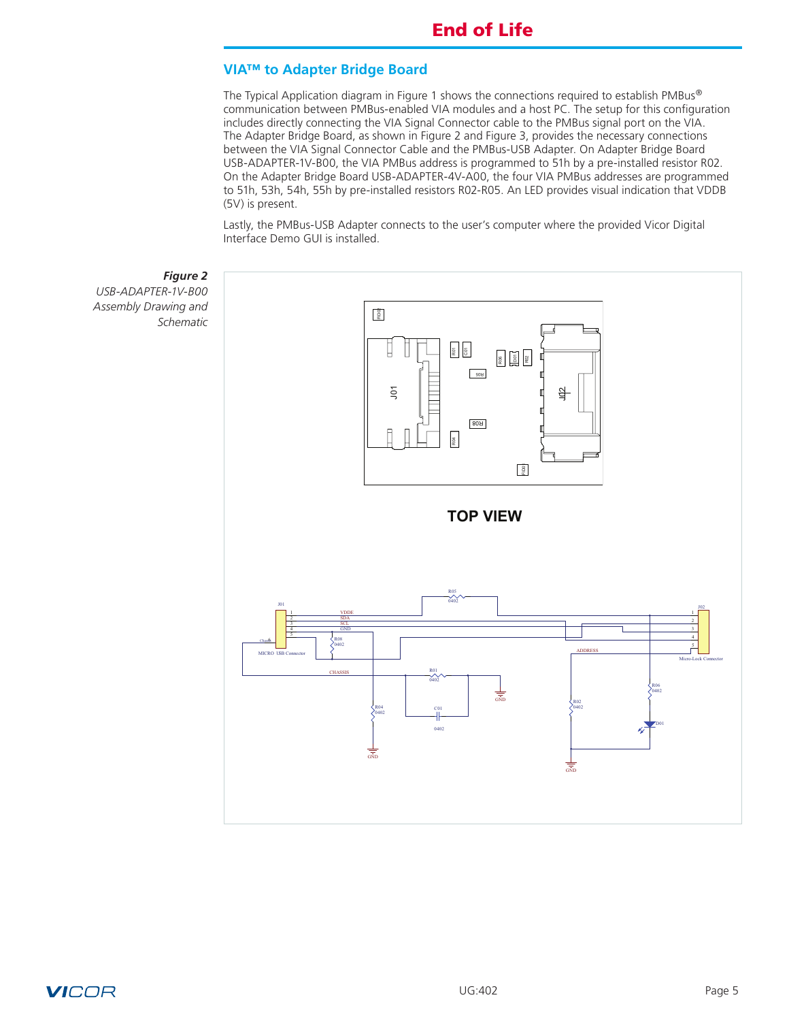## <span id="page-4-0"></span>**VIA™ to Adapter Bridge Board**

The Typical Application diagram in Figure 1 shows the connections required to establish PMBus*®* communication between PMBus-enabled VIA modules and a host PC. The setup for this configuration includes directly connecting the VIA Signal Connector cable to the PMBus signal port on the VIA. The Adapter Bridge Board, as shown in Figure 2 and Figure 3, provides the necessary connections between the VIA Signal Connector Cable and the PMBus-USB Adapter. On Adapter Bridge Board USB-ADAPTER-1V-B00, the VIA PMBus address is programmed to 51h by a pre-installed resistor R02. On the Adapter Bridge Board USB-ADAPTER-4V-A00, the four VIA PMBus addresses are programmed to 51h, 53h, 54h, 55h by pre-installed resistors R02-R05. An LED provides visual indication that VDDB (5V) is present.

Lastly, the PMBus-USB Adapter connects to the user's computer where the provided Vicor Digital Interface Demo GUI is installed.



**VICOR**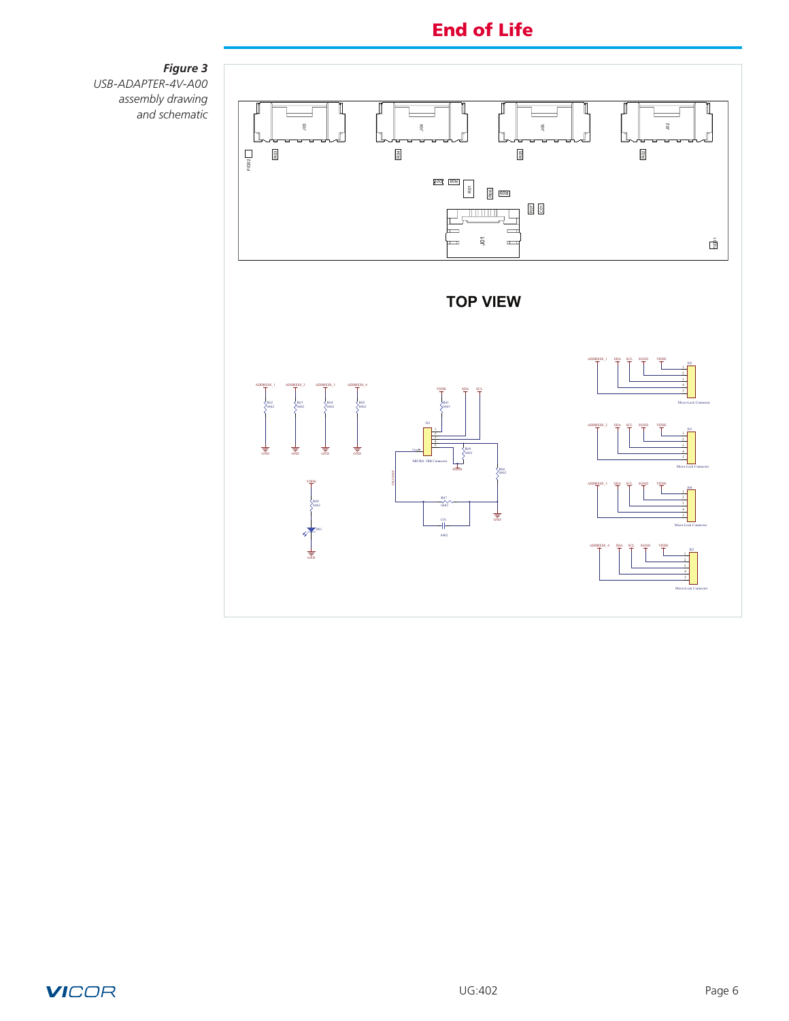

*Figure 3 USB-ADAPTER-4V-A00 assembly drawing and schematic*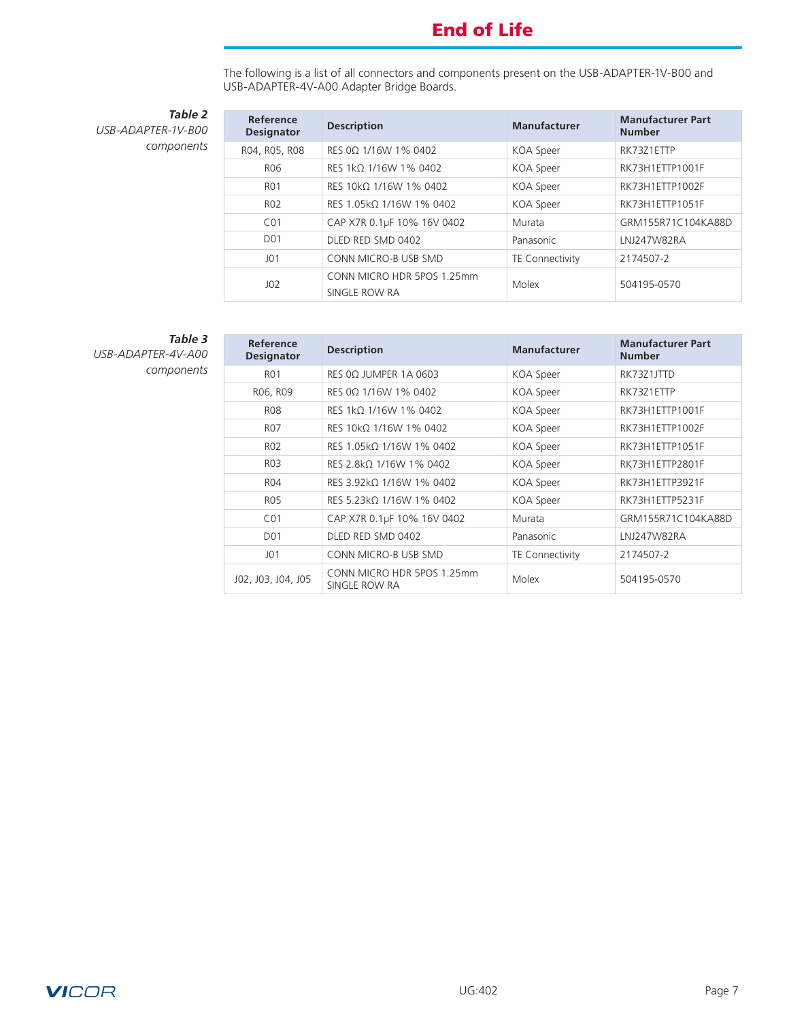The following is a list of all connectors and components present on the USB-ADAPTER-1V-B00 and USB-ADAPTER-4V-A00 Adapter Bridge Boards.

*Table 2 USB-ADAPTER-1V-B00 components*

| Reference<br><b>Designator</b> | <b>Description</b>                          | <b>Manufacturer</b>    | <b>Manufacturer Part</b><br><b>Number</b> |
|--------------------------------|---------------------------------------------|------------------------|-------------------------------------------|
| R04, R05, R08                  | RES 00 1/16W 1% 0402                        | <b>KOA</b> Speer       | RK73Z1ETTP                                |
| R <sub>06</sub>                | RES 1kΩ 1/16W 1% 0402                       | KOA Speer              | RK73H1ETTP1001F                           |
| <b>RO1</b>                     | RES 10kQ 1/16W 1% 0402                      | KOA Speer              | RK73H1ETTP1002F                           |
| R <sub>02</sub>                | RES 1.05kQ 1/16W 1% 0402                    | <b>KOA</b> Speer       | RK73H1ETTP1051F                           |
| CO <sub>1</sub>                | CAP X7R 0.1µF 10% 16V 0402                  | Murata                 | GRM155R71C104KA88D                        |
| D <sub>0</sub> 1               | DLED RED SMD 0402                           | Panasonic              | LNJ247W82RA                               |
| JO1                            | CONN MICRO-B USB SMD                        | <b>TE Connectivity</b> | 2174507-2                                 |
| J <sub>02</sub>                | CONN MICRO HDR 5POS 1.25mm<br>SINGLE ROW RA | Molex                  | 504195-0570                               |

*Table 3 USB-ADAPTER-4V-A00 components*

| Reference<br><b>Designator</b> | <b>Description</b>                          | <b>Manufacturer</b> | <b>Manufacturer Part</b><br><b>Number</b> |
|--------------------------------|---------------------------------------------|---------------------|-------------------------------------------|
| R <sub>01</sub>                | RES $0\Omega$ JUMPER 1A 0603                | KOA Speer           | RK73Z1JTTD                                |
| R06, R09                       | RES 0Ω 1/16W 1% 0402                        | KOA Speer           | RK73Z1ETTP                                |
| <b>RO8</b>                     | RES 1kΩ 1/16W 1% 0402                       | KOA Speer           | RK73H1ETTP1001F                           |
| R07                            | RES 10kΩ 1/16W 1% 0402                      | KOA Speer           | RK73H1ETTP1002F                           |
| R <sub>02</sub>                | RES 1.05kΩ 1/16W 1% 0402                    | KOA Speer           | RK73H1ETTP1051F                           |
| R03                            | RES 2.8 kQ 1/16 W 1% 0402                   | KOA Speer           | RK73H1ETTP2801F                           |
| R <sub>04</sub>                | RES 3.92kΩ 1/16W 1% 0402                    | KOA Speer           | RK73H1ETTP3921F                           |
| R <sub>05</sub>                | RES 5.23kQ 1/16W 1% 0402                    | KOA Speer           | RK73H1ETTP5231F                           |
| CO <sub>1</sub>                | CAP X7R 0.1µF 10% 16V 0402                  | Murata              | GRM155R71C104KA88D                        |
| D <sub>0</sub> 1               | DLED RED SMD 0402                           | Panasonic           | LNJ247W82RA                               |
| JO1                            | CONN MICRO-B USB SMD                        | TE Connectivity     | 2174507-2                                 |
| J02, J03, J04, J05             | CONN MICRO HDR 5POS 1.25mm<br>SINGLE ROW RA | Molex               | 504195-0570                               |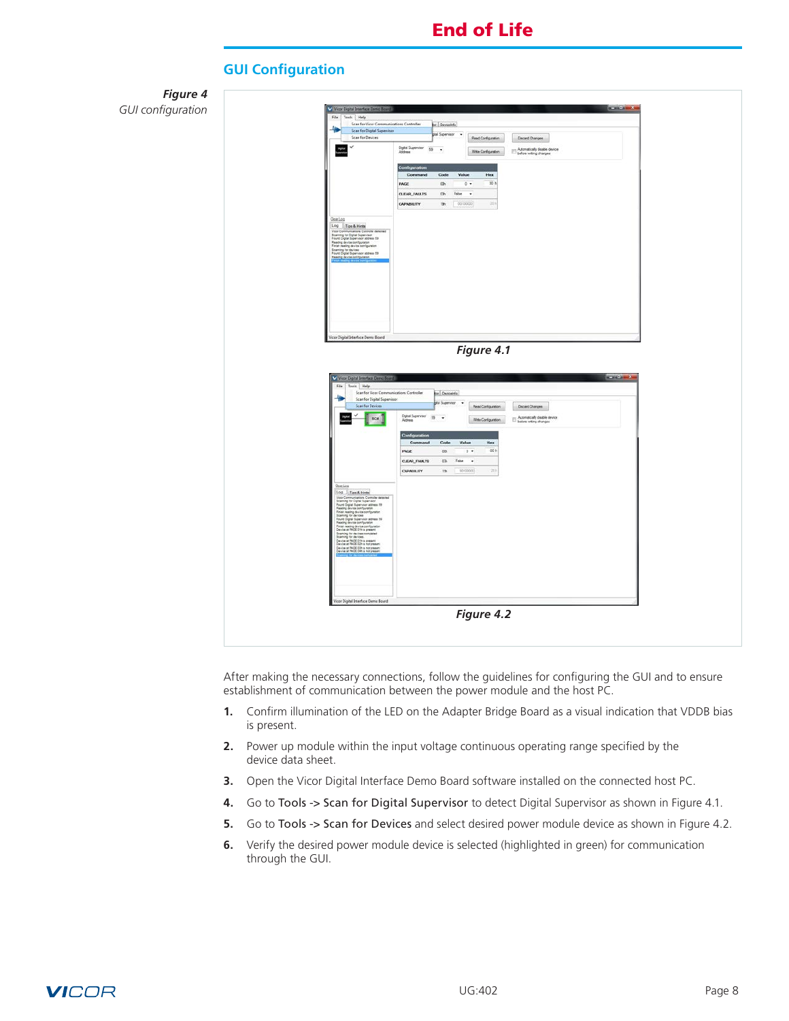<span id="page-7-0"></span>

After making the necessary connections, follow the guidelines for configuring the GUI and to ensure establishment of communication between the power module and the host PC.

- **1.** Confirm illumination of the LED on the Adapter Bridge Board as a visual indication that VDDB bias is present.
- **2.** Power up module within the input voltage continuous operating range specified by the device data sheet.
- **3.** Open the Vicor Digital Interface Demo Board software installed on the connected host PC.
- **4.** Go to Tools -> Scan for Digital Supervisor to detect Digital Supervisor as shown in Figure 4.1.
- **5.** Go to Tools -> Scan for Devices and select desired power module device as shown in Figure 4.2.
- **6.** Verify the desired power module device is selected (highlighted in green) for communication through the GUI.